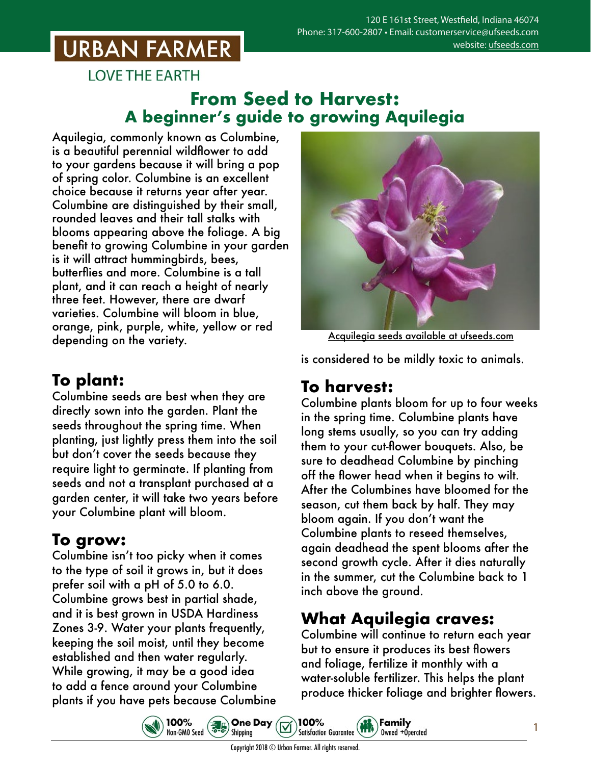## **URBAN FARMER**

**LOVE THE EARTH** 

### **From Seed to Harvest: A beginner's guide to growing Aquilegia**

Aquilegia, commonly known as Columbine, is a beautiful perennial wildflower to add to your gardens because it will bring a pop of spring color. Columbine is an excellent choice because it returns year after year. Columbine are distinguished by their small, rounded leaves and their tall stalks with blooms appearing above the foliage. A big benefit to growing Columbine in your garden is it will attract hummingbirds, bees, butterflies and more. Columbine is a tall plant, and it can reach a height of nearly three feet. However, there are dwarf varieties. Columbine will bloom in blue, orange, pink, purple, white, yellow or red depending on the variety.

## **To plant:**

Columbine seeds are best when they are directly sown into the garden. Plant the seeds throughout the spring time. When planting, just lightly press them into the soil but don't cover the seeds because they require light to germinate. If planting from seeds and not a transplant purchased at a garden center, it will take two years before your Columbine plant will bloom.

#### **To grow:**

Columbine isn't too picky when it comes to the type of soil it grows in, but it does prefer soil with a pH of 5.0 to 6.0. Columbine grows best in partial shade, and it is best grown in USDA Hardiness Zones 3-9. Water your plants frequently, keeping the soil moist, until they become established and then water regularly. While growing, it may be a good idea to add a fence around your Columbine plants if you have pets because Columbine

100%

100%<br>Non-GM0 Seed 30 Shipping



Acquilegia seeds [available at ufseeds.com](https://www.ufseeds.com/product-category/flowers/aquilegia/)

is considered to be mildly toxic to animals.

#### **To harvest:**

Columbine plants bloom for up to four weeks in the spring time. Columbine plants have long stems usually, so you can try adding them to your cut-flower bouquets. Also, be sure to deadhead Columbine by pinching off the flower head when it begins to wilt. After the Columbines have bloomed for the season, cut them back by half. They may bloom again. If you don't want the Columbine plants to reseed themselves, again deadhead the spent blooms after the second growth cycle. After it dies naturally in the summer, cut the Columbine back to 1 inch above the ground.

## **What Aquilegia craves:**

Family

Owned +Operated

Columbine will continue to return each year but to ensure it produces its best flowers and foliage, fertilize it monthly with a water-soluble fertilizer. This helps the plant produce thicker foliage and brighter flowers.

1

100%

**Satisfaction Guarantee**